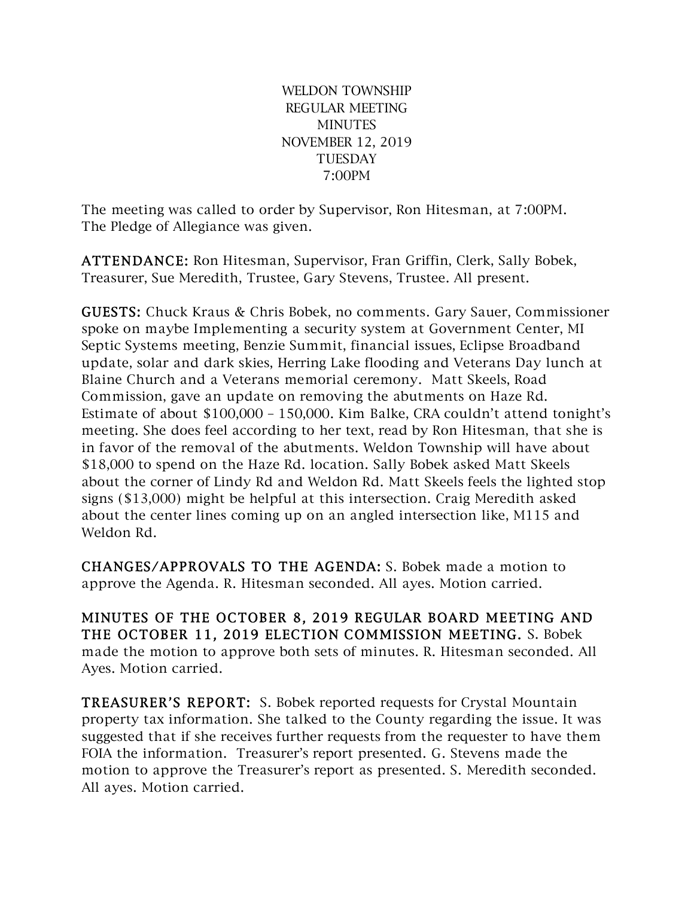WELDON TOWNSHIP REGULAR MEETING **MINUTES** NOVEMBER 12, 2019 **TUESDAY** 7:00PM

The meeting was called to order by Supervisor, Ron Hitesman, at 7:00PM. The Pledge of Allegiance was given.

ATTENDANCE: Ron Hitesman, Supervisor, Fran Griffin, Clerk, Sally Bobek, Treasurer, Sue Meredith, Trustee, Gary Stevens, Trustee. All present.

GUESTS: Chuck Kraus & Chris Bobek, no comments. Gary Sauer, Commissioner spoke on maybe Implementing a security system at Government Center, MI Septic Systems meeting, Benzie Summit, financial issues, Eclipse Broadband update, solar and dark skies, Herring Lake flooding and Veterans Day lunch at Blaine Church and a Veterans memorial ceremony. Matt Skeels, Road Commission, gave an update on removing the abutments on Haze Rd. Estimate of about \$100,000 – 150,000. Kim Balke, CRA couldn't attend tonight's meeting. She does feel according to her text, read by Ron Hitesman, that she is in favor of the removal of the abutments. Weldon Township will have about \$18,000 to spend on the Haze Rd. location. Sally Bobek asked Matt Skeels about the corner of Lindy Rd and Weldon Rd. Matt Skeels feels the lighted stop signs (\$13,000) might be helpful at this intersection. Craig Meredith asked about the center lines coming up on an angled intersection like, M115 and Weldon Rd.

CHANGES/APPROVALS TO THE AGENDA: S. Bobek made a motion to approve the Agenda. R. Hitesman seconded. All ayes. Motion carried.

MINUTES OF THE OCTOBER 8, 2019 REGULAR BOARD MEETING AND THE OCTOBER 11, 2019 ELECTION COMMISSION MEETING. S. Bobek made the motion to approve both sets of minutes. R. Hitesman seconded. All Ayes. Motion carried.

TREASURER'S REPORT: S. Bobek reported requests for Crystal Mountain property tax information. She talked to the County regarding the issue. It was suggested that if she receives further requests from the requester to have them FOIA the information. Treasurer's report presented. G. Stevens made the motion to approve the Treasurer's report as presented. S. Meredith seconded. All ayes. Motion carried.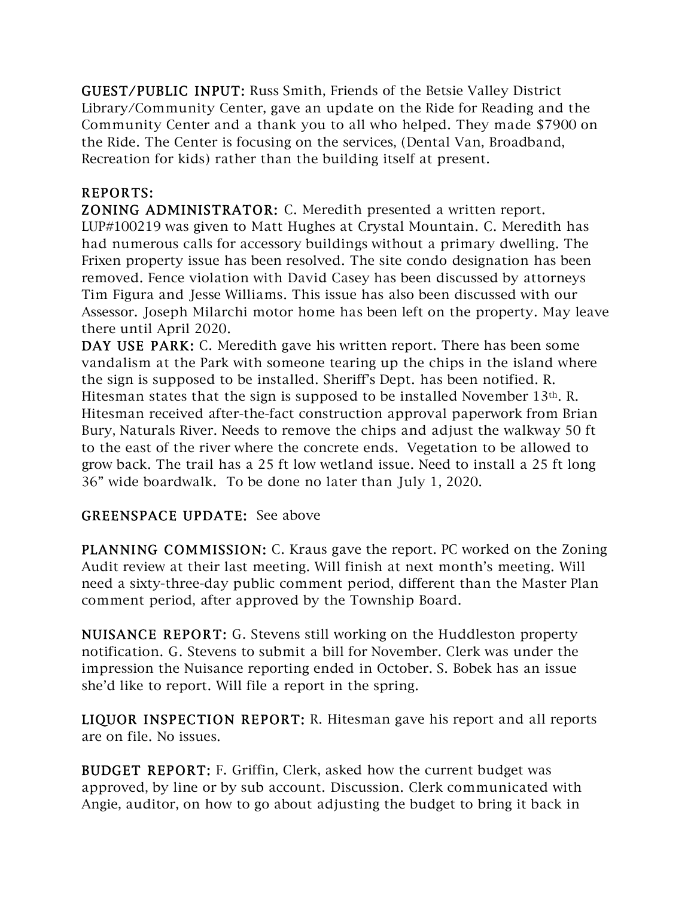GUEST/PUBLIC INPUT: Russ Smith, Friends of the Betsie Valley District Library/Community Center, gave an update on the Ride for Reading and the Community Center and a thank you to all who helped. They made \$7900 on the Ride. The Center is focusing on the services, (Dental Van, Broadband, Recreation for kids) rather than the building itself at present.

## REPORTS:

ZONING ADMINISTRATOR: C. Meredith presented a written report. LUP#100219 was given to Matt Hughes at Crystal Mountain. C. Meredith has had numerous calls for accessory buildings without a primary dwelling. The Frixen property issue has been resolved. The site condo designation has been removed. Fence violation with David Casey has been discussed by attorneys Tim Figura and Jesse Williams. This issue has also been discussed with our Assessor. Joseph Milarchi motor home has been left on the property. May leave there until April 2020.

DAY USE PARK: C. Meredith gave his written report. There has been some vandalism at the Park with someone tearing up the chips in the island where the sign is supposed to be installed. Sheriff's Dept. has been notified. R. Hitesman states that the sign is supposed to be installed November 13th. R. Hitesman received after-the-fact construction approval paperwork from Brian Bury, Naturals River. Needs to remove the chips and adjust the walkway 50 ft to the east of the river where the concrete ends. Vegetation to be allowed to grow back. The trail has a 25 ft low wetland issue. Need to install a 25 ft long 36" wide boardwalk. To be done no later than July 1, 2020.

## GREENSPACE UPDATE: See above

PLANNING COMMISSION: C. Kraus gave the report. PC worked on the Zoning Audit review at their last meeting. Will finish at next month's meeting. Will need a sixty-three-day public comment period, different than the Master Plan comment period, after approved by the Township Board.

NUISANCE REPORT: G. Stevens still working on the Huddleston property notification. G. Stevens to submit a bill for November. Clerk was under the impression the Nuisance reporting ended in October. S. Bobek has an issue she'd like to report. Will file a report in the spring.

LIQUOR INSPECTION REPORT: R. Hitesman gave his report and all reports are on file. No issues.

BUDGET REPORT: F. Griffin, Clerk, asked how the current budget was approved, by line or by sub account. Discussion. Clerk communicated with Angie, auditor, on how to go about adjusting the budget to bring it back in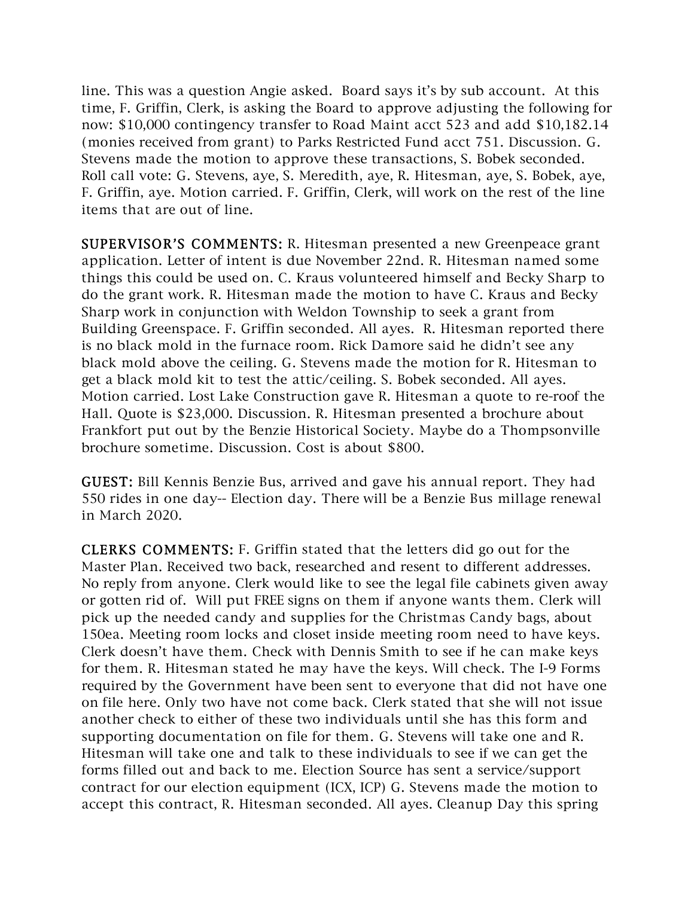line. This was a question Angie asked. Board says it's by sub account. At this time, F. Griffin, Clerk, is asking the Board to approve adjusting the following for now: \$10,000 contingency transfer to Road Maint acct 523 and add \$10,182.14 (monies received from grant) to Parks Restricted Fund acct 751. Discussion. G. Stevens made the motion to approve these transactions, S. Bobek seconded. Roll call vote: G. Stevens, aye, S. Meredith, aye, R. Hitesman, aye, S. Bobek, aye, F. Griffin, aye. Motion carried. F. Griffin, Clerk, will work on the rest of the line items that are out of line.

SUPERVISOR'S COMMENTS: R. Hitesman presented a new Greenpeace grant application. Letter of intent is due November 22nd. R. Hitesman named some things this could be used on. C. Kraus volunteered himself and Becky Sharp to do the grant work. R. Hitesman made the motion to have C. Kraus and Becky Sharp work in conjunction with Weldon Township to seek a grant from Building Greenspace. F. Griffin seconded. All ayes. R. Hitesman reported there is no black mold in the furnace room. Rick Damore said he didn't see any black mold above the ceiling. G. Stevens made the motion for R. Hitesman to get a black mold kit to test the attic/ceiling. S. Bobek seconded. All ayes. Motion carried. Lost Lake Construction gave R. Hitesman a quote to re-roof the Hall. Quote is \$23,000. Discussion. R. Hitesman presented a brochure about Frankfort put out by the Benzie Historical Society. Maybe do a Thompsonville brochure sometime. Discussion. Cost is about \$800.

GUEST: Bill Kennis Benzie Bus, arrived and gave his annual report. They had 550 rides in one day-- Election day. There will be a Benzie Bus millage renewal in March 2020.

CLERKS C OMMENTS: F. Griffin stated that the letters did go out for the Master Plan. Received two back, researched and resent to different addresses. No reply from anyone. Clerk would like to see the legal file cabinets given away or gotten rid of. Will put FREE signs on them if anyone wants them. Clerk will pick up the needed candy and supplies for the Christmas Candy bags, about 150ea. Meeting room locks and closet inside meeting room need to have keys. Clerk doesn't have them. Check with Dennis Smith to see if he can make keys for them. R. Hitesman stated he may have the keys. Will check. The I-9 Forms required by the Government have been sent to everyone that did not have one on file here. Only two have not come back. Clerk stated that she will not issue another check to either of these two individuals until she has this form and supporting documentation on file for them. G. Stevens will take one and R. Hitesman will take one and talk to these individuals to see if we can get the forms filled out and back to me. Election Source has sent a service/support contract for our election equipment (ICX, ICP) G. Stevens made the motion to accept this contract, R. Hitesman seconded. All ayes. Cleanup Day this spring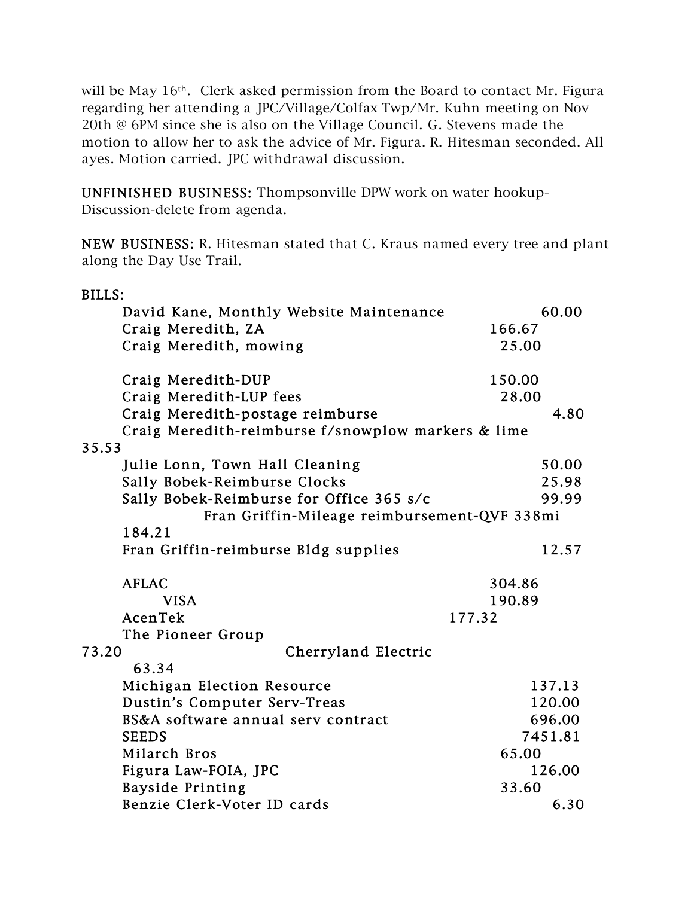will be May 16<sup>th</sup>. Clerk asked permission from the Board to contact Mr. Figura regarding her attending a JPC/Village/Colfax Twp/Mr. Kuhn meeting on Nov 20th @ 6PM since she is also on the Village Council. G. Stevens made the motion to allow her to ask the advice of Mr. Figura. R. Hitesman seconded. All ayes. Motion carried. JPC withdrawal discussion.

UNFINISHED BUSINESS: Thompsonville DPW work on water hookup-Discussion-delete from agenda.

NEW BUSINESS: R. Hitesman stated that C. Kraus named every tree and plant along the Day Use Trail.

| <b>BILLS:</b>                                      |         |
|----------------------------------------------------|---------|
| David Kane, Monthly Website Maintenance            | 60.00   |
| Craig Meredith, ZA                                 | 166.67  |
| Craig Meredith, mowing                             | 25.00   |
| Craig Meredith-DUP                                 | 150.00  |
| Craig Meredith-LUP fees                            | 28.00   |
| Craig Meredith-postage reimburse                   | 4.80    |
| Craig Meredith-reimburse f/snowplow markers & lime |         |
| 35.53                                              |         |
| Julie Lonn, Town Hall Cleaning                     | 50.00   |
| Sally Bobek-Reimburse Clocks                       | 25.98   |
| Sally Bobek-Reimburse for Office 365 s/c           | 99.99   |
| Fran Griffin-Mileage reimbursement-QVF 338mi       |         |
| 184.21                                             |         |
| Fran Griffin-reimburse Bldg supplies               | 12.57   |
| <b>AFLAC</b>                                       | 304.86  |
| <b>VISA</b>                                        | 190.89  |
| AcenTek                                            | 177.32  |
| The Pioneer Group                                  |         |
| 73.20<br>Cherryland Electric                       |         |
| 63.34                                              |         |
| Michigan Election Resource                         | 137.13  |
| Dustin's Computer Serv-Treas                       | 120.00  |
| BS&A software annual serv contract                 | 696.00  |
| <b>SEEDS</b>                                       | 7451.81 |
| Milarch Bros                                       | 65.00   |
| Figura Law-FOIA, JPC                               | 126.00  |
| <b>Bayside Printing</b>                            | 33.60   |
| Benzie Clerk-Voter ID cards                        | 6.30    |